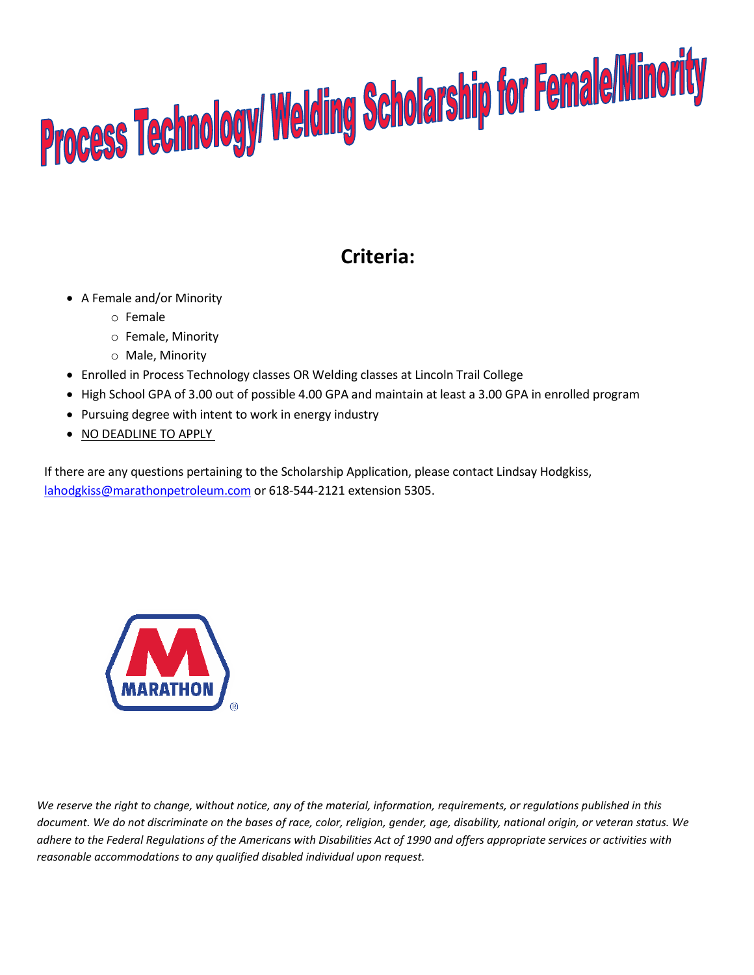## Process Technology/ Welding Scholarship for Female/Minority

## **Criteria:**

- A Female and/or Minority
	- o Female
	- o Female, Minority
	- o Male, Minority
- Enrolled in Process Technology classes OR Welding classes at Lincoln Trail College
- High School GPA of 3.00 out of possible 4.00 GPA and maintain at least a 3.00 GPA in enrolled program
- Pursuing degree with intent to work in energy industry
- NO DEADLINE TO APPLY

If there are any questions pertaining to the Scholarship Application, please contact Lindsay Hodgkiss, [lahodgkiss@marathonpetroleum.com](mailto:lahodgkiss@marathonpetroleum.com) or 618-544-2121 extension 5305.



*We reserve the right to change, without notice, any of the material, information, requirements, or regulations published in this document. We do not discriminate on the bases of race, color, religion, gender, age, disability, national origin, or veteran status. We adhere to the Federal Regulations of the Americans with Disabilities Act of 1990 and offers appropriate services or activities with reasonable accommodations to any qualified disabled individual upon request.*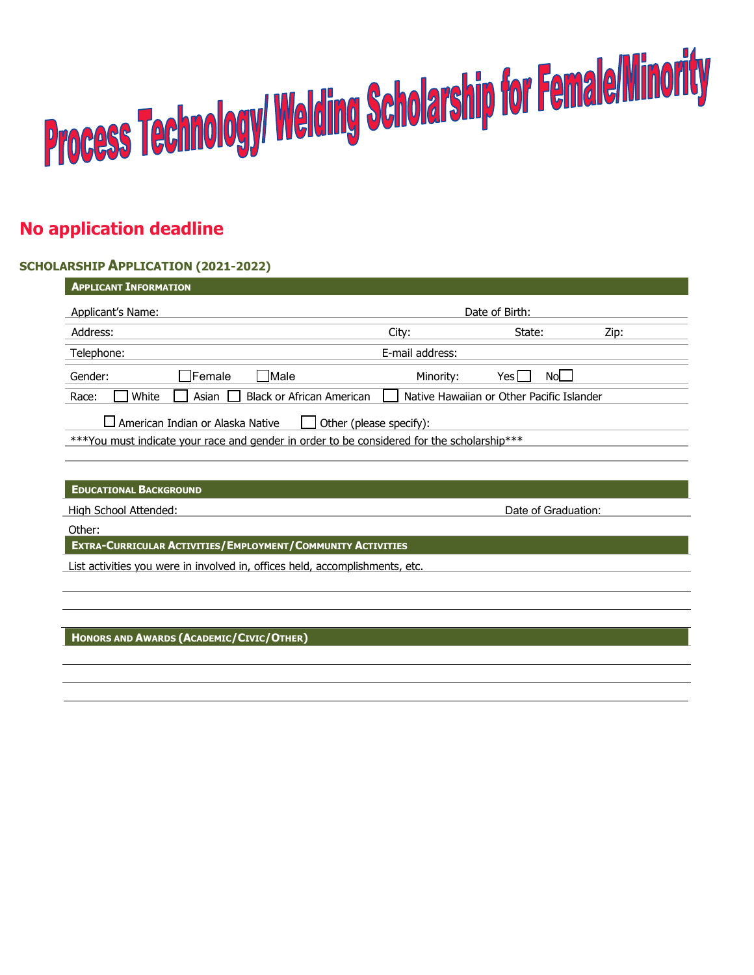# Process Technology/ Welding Scholarship for Female/Minority

## **No application deadline**

### **SCHOLARSHIP APPLICATION (2021-2022)**

| <b>APPLICANT INFORMATION</b>                                                                                                                                     |                 |                     |      |
|------------------------------------------------------------------------------------------------------------------------------------------------------------------|-----------------|---------------------|------|
| Applicant's Name:                                                                                                                                                | Date of Birth:  |                     |      |
| Address:                                                                                                                                                         | City:           | State:              | Zip: |
| Telephone:                                                                                                                                                       | E-mail address: |                     |      |
| $\Box$ Female<br><b>Male</b><br>Gender:                                                                                                                          | Minority:       | No<br>Yesl          |      |
| White<br><b>Black or African American</b><br>Native Hawaiian or Other Pacific Islander<br>Asian I<br>Race:                                                       |                 |                     |      |
| $\Box$ American Indian or Alaska Native<br>Other (please specify):<br>***You must indicate your race and gender in order to be considered for the scholarship*** |                 |                     |      |
| <b>EDUCATIONAL BACKGROUND</b>                                                                                                                                    |                 |                     |      |
| High School Attended:                                                                                                                                            |                 | Date of Graduation: |      |
| Other:                                                                                                                                                           |                 |                     |      |
| EXTRA-CURRICULAR ACTIVITIES/EMPLOYMENT/COMMUNITY ACTIVITIES                                                                                                      |                 |                     |      |
| List activities you were in involved in, offices held, accomplishments, etc.                                                                                     |                 |                     |      |
|                                                                                                                                                                  |                 |                     |      |
|                                                                                                                                                                  |                 |                     |      |

**HONORS AND AWARDS (ACADEMIC/CIVIC/OTHER)**